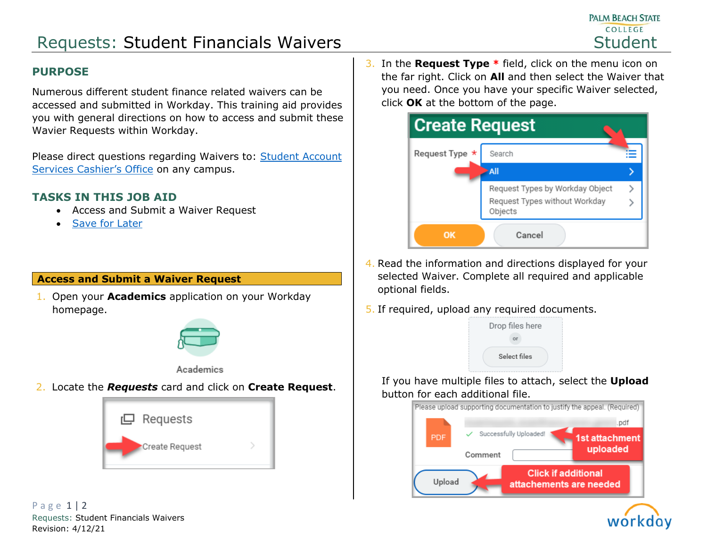# Requests: Student Financials Waivers National Student Student

## **PURPOSE**

Numerous different student finance related waivers can be accessed and submitted in Workday. This training aid provides you with general directions on how to access and submit these Wavier Requests within Workday.

Please direct questions regarding Waivers to: [Student Account](https://www.palmbeachstate.edu/finance/cashiers-office.aspx)  [Services Cashier's Office](https://www.palmbeachstate.edu/finance/cashiers-office.aspx) on any campus.

## **TASKS IN THIS JOB AID**

- Access and Submit a Waiver Request
- [Save for Later](#page-1-0)

### **Access and Submit a Waiver Request**

1. Open your **Academics** application on your Workday homepage.



#### Academics

2. Locate the *Requests* card and click on **Create Request**.



P a g e 1 | 2 Requests: Student Financials Waivers Revision: 4/12/21

3. In the **Request Type \*** field, click on the menu icon on the far right. Click on **All** and then select the Waiver that you need. Once you have your specific Waiver selected, click **OK** at the bottom of the page.



- 4. Read the information and directions displayed for your selected Waiver. Complete all required and applicable optional fields.
- 5. If required, upload any required documents.



If you have multiple files to attach, select the **Upload** button for each additional file.